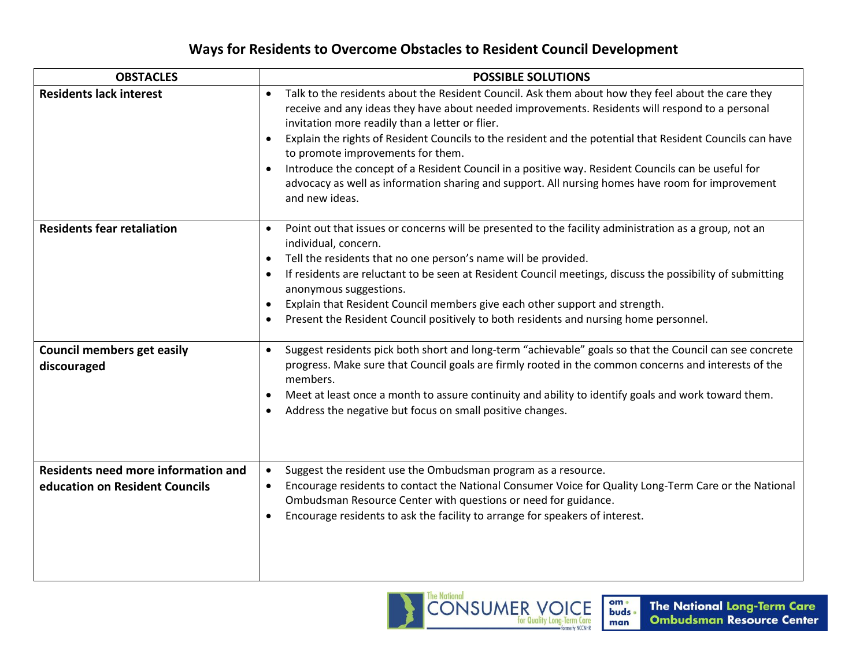## **Ways for Residents to Overcome Obstacles to Resident Council Development**

| <b>OBSTACLES</b>                                                      | <b>POSSIBLE SOLUTIONS</b>                                                                                                                                                                                                                                                                                                                                                                                                                                                                                                                                                                                                                                        |
|-----------------------------------------------------------------------|------------------------------------------------------------------------------------------------------------------------------------------------------------------------------------------------------------------------------------------------------------------------------------------------------------------------------------------------------------------------------------------------------------------------------------------------------------------------------------------------------------------------------------------------------------------------------------------------------------------------------------------------------------------|
| <b>Residents lack interest</b>                                        | Talk to the residents about the Resident Council. Ask them about how they feel about the care they<br>$\bullet$<br>receive and any ideas they have about needed improvements. Residents will respond to a personal<br>invitation more readily than a letter or flier.<br>Explain the rights of Resident Councils to the resident and the potential that Resident Councils can have<br>$\bullet$<br>to promote improvements for them.<br>Introduce the concept of a Resident Council in a positive way. Resident Councils can be useful for<br>advocacy as well as information sharing and support. All nursing homes have room for improvement<br>and new ideas. |
| <b>Residents fear retaliation</b>                                     | Point out that issues or concerns will be presented to the facility administration as a group, not an<br>$\bullet$<br>individual, concern.<br>Tell the residents that no one person's name will be provided.<br>$\bullet$<br>If residents are reluctant to be seen at Resident Council meetings, discuss the possibility of submitting<br>anonymous suggestions.<br>Explain that Resident Council members give each other support and strength.<br>$\bullet$<br>Present the Resident Council positively to both residents and nursing home personnel.                                                                                                            |
| <b>Council members get easily</b><br>discouraged                      | Suggest residents pick both short and long-term "achievable" goals so that the Council can see concrete<br>$\bullet$<br>progress. Make sure that Council goals are firmly rooted in the common concerns and interests of the<br>members.<br>Meet at least once a month to assure continuity and ability to identify goals and work toward them.<br>$\bullet$<br>Address the negative but focus on small positive changes.                                                                                                                                                                                                                                        |
| Residents need more information and<br>education on Resident Councils | Suggest the resident use the Ombudsman program as a resource.<br>$\bullet$<br>Encourage residents to contact the National Consumer Voice for Quality Long-Term Care or the National<br>$\bullet$<br>Ombudsman Resource Center with questions or need for guidance.<br>Encourage residents to ask the facility to arrange for speakers of interest.                                                                                                                                                                                                                                                                                                               |